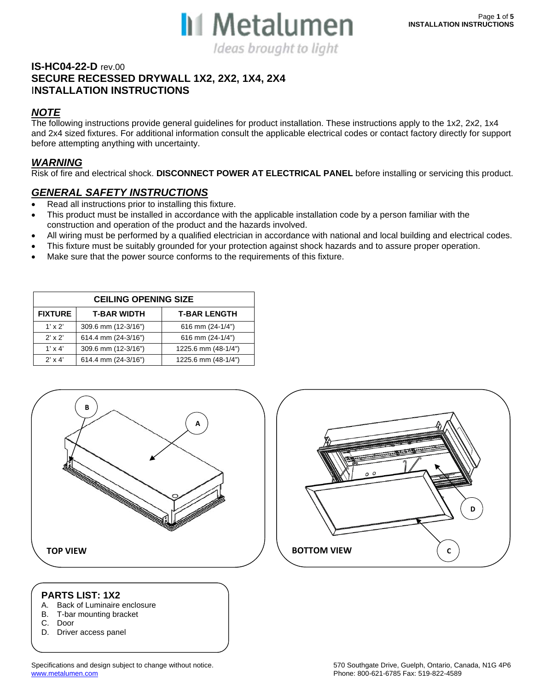

#### **IS-HC04-22-D** rev.00 **SECURE RECESSED DRYWALL 1X2, 2X2, 1X4, 2X4**  I**NSTALLATION INSTRUCTIONS**

### *NOTE*

The following instructions provide general guidelines for product installation. These instructions apply to the 1x2, 2x2, 1x4 and 2x4 sized fixtures. For additional information consult the applicable electrical codes or contact factory directly for support before attempting anything with uncertainty.

#### *WARNING*

Risk of fire and electrical shock. **DISCONNECT POWER AT ELECTRICAL PANEL** before installing or servicing this product.

#### *GENERAL SAFETY INSTRUCTIONS*

- Read all instructions prior to installing this fixture.
- This product must be installed in accordance with the applicable installation code by a person familiar with the construction and operation of the product and the hazards involved.
- All wiring must be performed by a qualified electrician in accordance with national and local building and electrical codes.
- This fixture must be suitably grounded for your protection against shock hazards and to assure proper operation.
- Make sure that the power source conforms to the requirements of this fixture.

| <b>CEILING OPENING SIZE</b> |                     |                     |  |
|-----------------------------|---------------------|---------------------|--|
| <b>FIXTURE</b>              | <b>T-BAR WIDTH</b>  | <b>T-BAR LENGTH</b> |  |
| $1' \times 2'$              | 309.6 mm (12-3/16") | 616 mm (24-1/4")    |  |
| $2'$ x $2'$                 | 614.4 mm (24-3/16") | 616 mm (24-1/4")    |  |
| $1' \times 4'$              | 309.6 mm (12-3/16") | 1225.6 mm (48-1/4") |  |
| $2' \times 4'$              | 614.4 mm (24-3/16") | 1225.6 mm (48-1/4") |  |



#### **PARTS LIST: 1X2**

- A. Back of Luminaire enclosure
- B. T-bar mounting bracket
- C. Door

 $\overline{\phantom{a}}$ 

D. Driver access panel



**C**

**D**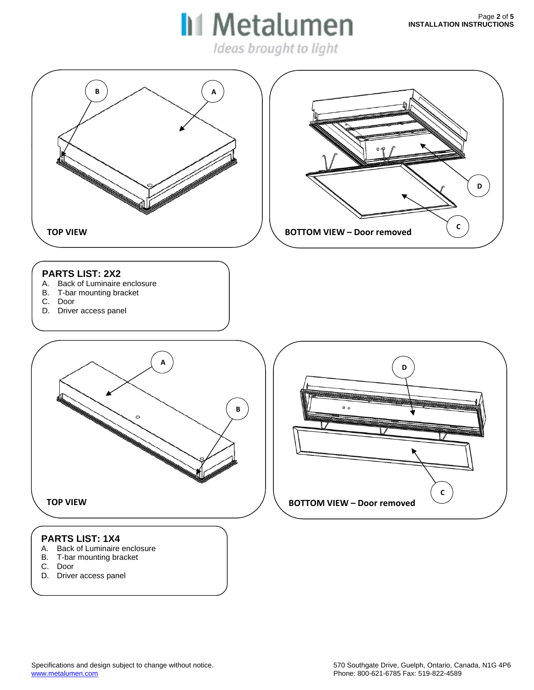Ideas brought to light

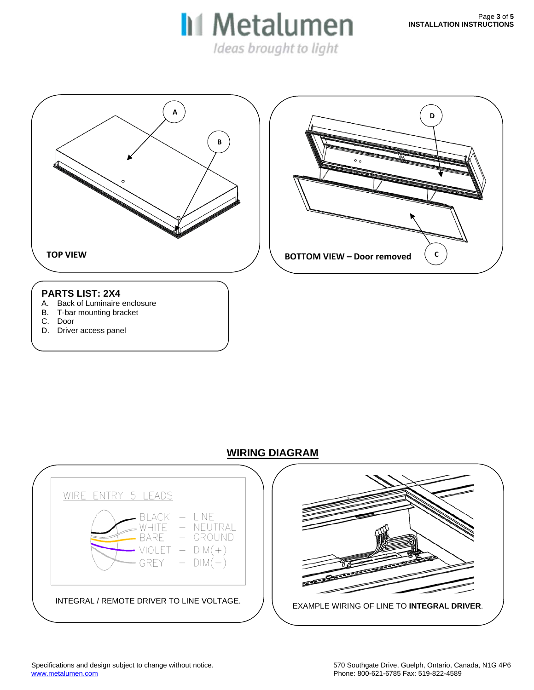Ideas brought to light



D. Driver access panel

#### **WIRING DIAGRAM**

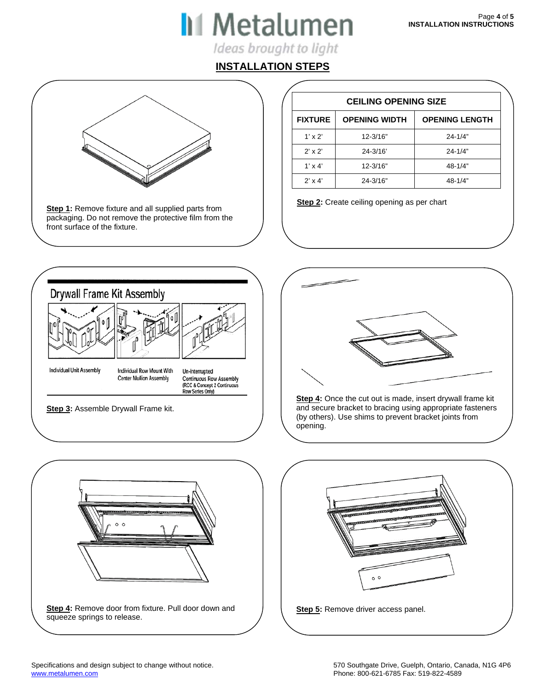# **II** Metalumen

Ideas brought to light

## **INSTALLATION STEPS**

**Step 1:** Remove fixture and all supplied parts from **Step 2:** Create ceiling opening as per chart packaging. Do not remove the protective film from the front surface of the fixture.

| <b>CEILING OPENING SIZE</b> |                      |                       |
|-----------------------------|----------------------|-----------------------|
| <b>FIXTURE</b>              | <b>OPENING WIDTH</b> | <b>OPENING LENGTH</b> |
| $1' \times 2'$              | 12-3/16"             | $24 - 1/4"$           |
| $2' \times 2'$              | 24-3/16'             | $24 - 1/4"$           |
| $1' \times 4'$              | 12-3/16"             | $48 - 1/4"$           |
| $2' \times 4'$              | 24-3/16"             | $48 - 1/4"$           |





**Step 4:** Once the cut out is made, insert drywall frame kit and secure bracket to bracing using appropriate fasteners (by others). Use shims to prevent bracket joints from opening.